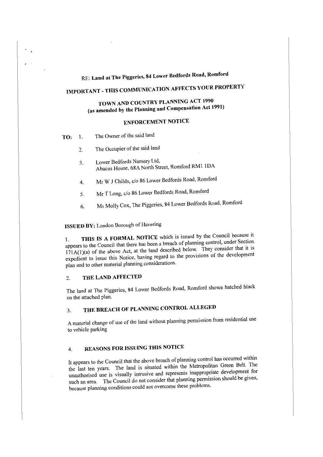# RE: **Land at The Piggeries, 84 Lower Bedfords Road, Romford**

# **IMPORTANT-THIS COMMUNICATION AFFECTS YOUR PROPERTY**

# **TOWN AND COUNTRY PLANNING ACT 1990 (as amended by the Planning and Compensation Act 1991)**

# **ENFORCEMENT NOTICE**

- **TO:** 1. The Owner of the said land
	- 2. The Occupier of the said land
	- 3. Lower Bedfords Nursery Ltd, Abacus House. 68A North Street, Romford RMI IDA
	- 4. Mr W J Childs, c/o 86 Lower Bedfords Road, Romford
	- 5. Mr T Long, c/o 86 Lower Bedfords Road, Romford
	- 6. Ms Molly Cox, The Piggeries, 84 Lower Bedfords Road, Romford

# **ISSUED BY:** London Borough of Havering

1. **THIS IS A FORMAL NOTICE** which is issued by the Council because it appears to the Council that there has been a breach of planning control, under Section  $171A(1)(a)$  of the above Act, at the land described below. They consider that it is expedient to issue this Notice, having regard to the provisions of the development plan and to other material planning considerations.

## 2. **THE LAND AFFECTED**

The land at The Piggeries, 84 Lower Bcdfords Road, Romford shown hatched black on the attached plan.

# 3. **THE BREACH OF PLANNING CONTROL ALLEGED**

A material change of use of the land without planning permission from residential use to vehicle parking

# 4. **REASONS FOR ISSUING THIS NOTICE**

It appears to the Council that the above breach of planning control has occurred within the last ten years. The land is situated within the Metropolitan Green Belt. The unauthorised use is visually intrusive and represents inappropriate development for such an area. The Council do not consider that planning permission should be given, because planning conditions could not overcome these problems.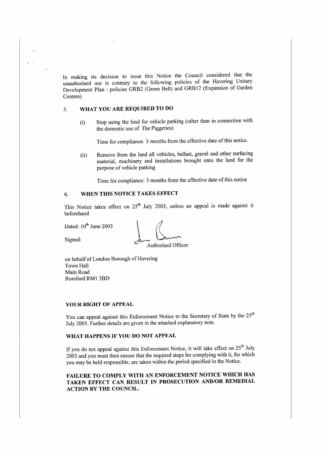In making its decision to issue this Notice the Council considered that the unauthorised use is contrary to the following policies of the Havering Unitary Development Plan : policies GRB2 (Green Belt) and GRB 12 (Expansion of Garden Centres)

#### 5. **WHAT YOU ARE REQUIRED TO DO**

(i) Stop using the land for vehicle parking (other than in connection with the domestic use of The Piggeries)

Time for compliance: 3 months from the effective date of this notice.

(ii) Remove from the land all vehicles, ballast, gravel and other surfacing material, machinery and installations brought onto the land for the purpose of vehicle parking

Time for compliance: 3 months from the effective date of this notice

## 6. **WHEN THIS NOTICE TAKES EFFECT**

This Notice takes effect on  $25^{\circ}$  July 2003, unless an appeal is made against it beforehand

 $\epsilon$ 

Dated:  $10^{th}$  June 2003<br>Signed:  $\int_{\text{two}} \int_{\text{Numberised Offi}}$ Authorised Officer

on behalf of London Borough of Havering Town Hall Main Road Romford RMI 3BD

#### **YOUR RIGHT OF APPEAL**

You can appeal against this Enforcement Notice to the Secretary of State by the 25<sup>th</sup> July 2003. Further details arc given in the attached explanatory note.

### **WHAT HAPPENS IF YOU DO NOT APPEAL**

If you do not appeal against this Enforcement Notice, it will take effect on  $25<sup>th</sup>$  July 2003 and you must then ensure that the required steps for complying with it, for which you may be held responsible, are taken within the period specified in the Notice.

## **FAILURE TO COMPLY WITH AN ENFORCEMENT NOTICE WHICH HAS TAKEN EFFECT CAN RESULT IN PROSECUTION AND/OR REMEDIAL ACTION BY THE COUNCIL.**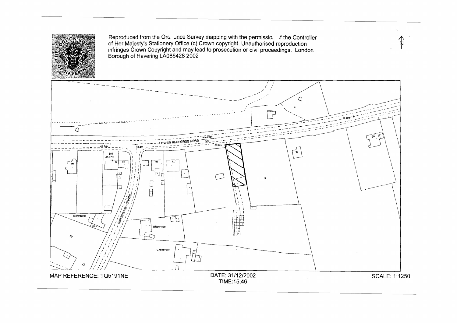